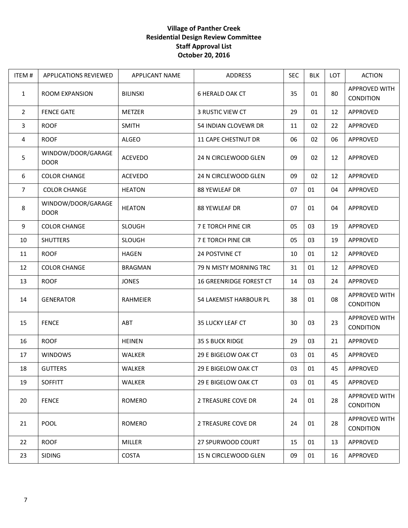## **Village of Panther Creek Residential Design Review Committee Staff Approval List October 20, 2016**

| ITEM#          | <b>APPLICATIONS REVIEWED</b>      | <b>APPLICANT NAME</b> | <b>ADDRESS</b>            | <b>SEC</b> | <b>BLK</b> | LOT | <b>ACTION</b>                            |
|----------------|-----------------------------------|-----------------------|---------------------------|------------|------------|-----|------------------------------------------|
| $\mathbf{1}$   | <b>ROOM EXPANSION</b>             | <b>BILINSKI</b>       | <b>6 HERALD OAK CT</b>    | 35         | 01         | 80  | <b>APPROVED WITH</b><br><b>CONDITION</b> |
| $\overline{2}$ | <b>FENCE GATE</b>                 | METZER                | 3 RUSTIC VIEW CT          | 29         | 01         | 12  | APPROVED                                 |
| 3              | <b>ROOF</b>                       | <b>SMITH</b>          | 54 INDIAN CLOVEWR DR      | 11         | 02         | 22  | APPROVED                                 |
| 4              | <b>ROOF</b>                       | <b>ALGEO</b>          | 11 CAPE CHESTNUT DR       | 06         | 02         | 06  | APPROVED                                 |
| 5              | WINDOW/DOOR/GARAGE<br><b>DOOR</b> | <b>ACEVEDO</b>        | 24 N CIRCLEWOOD GLEN      | 09         | 02         | 12  | APPROVED                                 |
| 6              | <b>COLOR CHANGE</b>               | ACEVEDO               | 24 N CIRCLEWOOD GLEN      | 09         | 02         | 12  | APPROVED                                 |
| $\overline{7}$ | <b>COLOR CHANGE</b>               | <b>HEATON</b>         | 88 YEWLEAF DR             | 07         | 01         | 04  | APPROVED                                 |
| 8              | WINDOW/DOOR/GARAGE<br><b>DOOR</b> | <b>HEATON</b>         | 88 YEWLEAF DR             | 07         | 01         | 04  | APPROVED                                 |
| 9              | <b>COLOR CHANGE</b>               | <b>SLOUGH</b>         | <b>7 E TORCH PINE CIR</b> | 05         | 03         | 19  | APPROVED                                 |
| 10             | <b>SHUTTERS</b>                   | <b>SLOUGH</b>         | <b>7 E TORCH PINE CIR</b> | 05         | 03         | 19  | APPROVED                                 |
| 11             | <b>ROOF</b>                       | <b>HAGEN</b>          | 24 POSTVINE CT            | 10         | 01         | 12  | APPROVED                                 |
| 12             | <b>COLOR CHANGE</b>               | <b>BRAGMAN</b>        | 79 N MISTY MORNING TRC    | 31         | 01         | 12  | APPROVED                                 |
| 13             | <b>ROOF</b>                       | <b>JONES</b>          | 16 GREENRIDGE FOREST CT   | 14         | 03         | 24  | APPROVED                                 |
| 14             | <b>GENERATOR</b>                  | RAHMEIER              | 54 LAKEMIST HARBOUR PL    | 38         | 01         | 08  | <b>APPROVED WITH</b><br>CONDITION        |
| 15             | <b>FENCE</b>                      | ABT                   | 35 LUCKY LEAF CT          | 30         | 03         | 23  | APPROVED WITH<br>CONDITION               |
| 16             | <b>ROOF</b>                       | <b>HEINEN</b>         | 35 S BUCK RIDGE           | 29         | 03         | 21  | APPROVED                                 |
| 17             | <b>WINDOWS</b>                    | <b>WALKER</b>         | 29 E BIGELOW OAK CT       | 03         | 01         | 45  | APPROVED                                 |
| 18             | <b>GUTTERS</b>                    | WALKER                | 29 E BIGELOW OAK CT       | 03         | 01         | 45  | APPROVED                                 |
| 19             | <b>SOFFITT</b>                    | <b>WALKER</b>         | 29 E BIGELOW OAK CT       | 03         | 01         | 45  | APPROVED                                 |
| 20             | <b>FENCE</b>                      | <b>ROMERO</b>         | 2 TREASURE COVE DR        | 24         | 01         | 28  | <b>APPROVED WITH</b><br><b>CONDITION</b> |
| 21             | <b>POOL</b>                       | <b>ROMERO</b>         | 2 TREASURE COVE DR        | 24         | 01         | 28  | <b>APPROVED WITH</b><br><b>CONDITION</b> |
| 22             | <b>ROOF</b>                       | <b>MILLER</b>         | 27 SPURWOOD COURT         | 15         | 01         | 13  | APPROVED                                 |
| 23             | <b>SIDING</b>                     | COSTA                 | 15 N CIRCLEWOOD GLEN      | 09         | 01         | 16  | APPROVED                                 |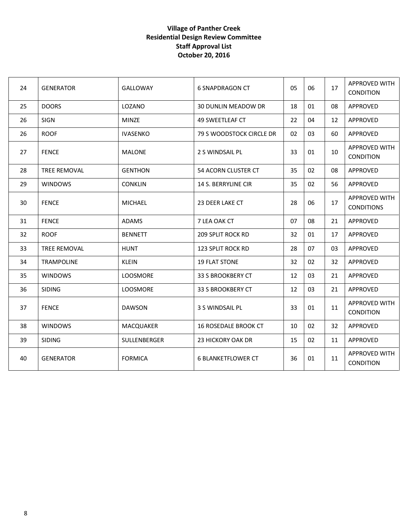## **Village of Panther Creek Residential Design Review Committee Staff Approval List October 20, 2016**

| 24 | <b>GENERATOR</b>    | <b>GALLOWAY</b>  | 6 SNAPDRAGON CT             | 05 | 06 | 17 | APPROVED WITH<br><b>CONDITION</b>        |
|----|---------------------|------------------|-----------------------------|----|----|----|------------------------------------------|
| 25 | <b>DOORS</b>        | LOZANO           | <b>30 DUNLIN MEADOW DR</b>  | 18 | 01 | 08 | APPROVED                                 |
| 26 | SIGN                | <b>MINZE</b>     | 49 SWEETLEAF CT             | 22 | 04 | 12 | APPROVED                                 |
| 26 | <b>ROOF</b>         | <b>IVASENKO</b>  | 79 S WOODSTOCK CIRCLE DR    | 02 | 03 | 60 | APPROVED                                 |
| 27 | <b>FENCE</b>        | <b>MALONE</b>    | 2 S WINDSAIL PL             | 33 | 01 | 10 | APPROVED WITH<br>CONDITION               |
| 28 | <b>TREE REMOVAL</b> | <b>GENTHON</b>   | <b>54 ACORN CLUSTER CT</b>  | 35 | 02 | 08 | <b>APPROVED</b>                          |
| 29 | <b>WINDOWS</b>      | <b>CONKLIN</b>   | <b>14 S. BERRYLINE CIR</b>  | 35 | 02 | 56 | APPROVED                                 |
| 30 | <b>FENCE</b>        | <b>MICHAEL</b>   | 23 DEER LAKE CT             | 28 | 06 | 17 | APPROVED WITH<br><b>CONDITIONS</b>       |
| 31 | <b>FENCE</b>        | <b>ADAMS</b>     | 7 LEA OAK CT                | 07 | 08 | 21 | APPROVED                                 |
| 32 | <b>ROOF</b>         | <b>BENNETT</b>   | <b>209 SPLIT ROCK RD</b>    | 32 | 01 | 17 | APPROVED                                 |
| 33 | <b>TREE REMOVAL</b> | <b>HUNT</b>      | <b>123 SPLIT ROCK RD</b>    | 28 | 07 | 03 | APPROVED                                 |
| 34 | <b>TRAMPOLINE</b>   | <b>KLEIN</b>     | <b>19 FLAT STONE</b>        | 32 | 02 | 32 | APPROVED                                 |
| 35 | <b>WINDOWS</b>      | LOOSMORE         | 33 S BROOKBERY CT           | 12 | 03 | 21 | APPROVED                                 |
| 36 | <b>SIDING</b>       | LOOSMORE         | 33 S BROOKBERY CT           | 12 | 03 | 21 | APPROVED                                 |
| 37 | <b>FENCE</b>        | <b>DAWSON</b>    | 3 S WINDSAIL PL             | 33 | 01 | 11 | <b>APPROVED WITH</b><br><b>CONDITION</b> |
| 38 | <b>WINDOWS</b>      | <b>MACQUAKER</b> | <b>16 ROSEDALE BROOK CT</b> | 10 | 02 | 32 | APPROVED                                 |
| 39 | <b>SIDING</b>       | SULLENBERGER     | 23 HICKORY OAK DR           | 15 | 02 | 11 | APPROVED                                 |
| 40 | <b>GENERATOR</b>    | <b>FORMICA</b>   | <b>6 BLANKETFLOWER CT</b>   | 36 | 01 | 11 | APPROVED WITH<br><b>CONDITION</b>        |